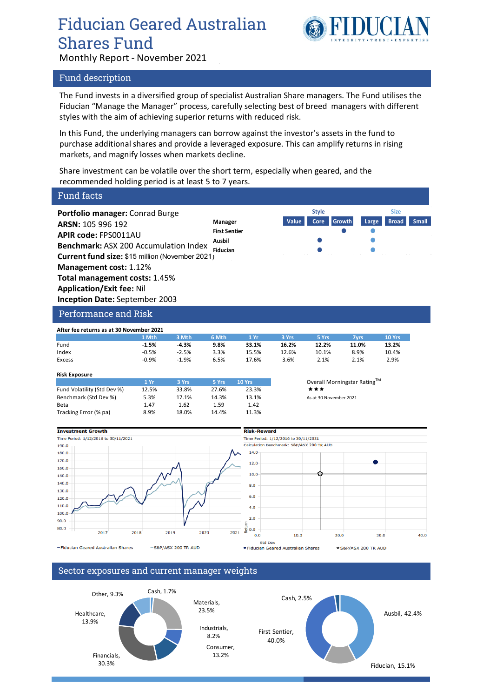# Fiducian Geared Australian Shares Fund



**Style Size**

Monthly Report - November 2021

### Fund description

The Fund invests in a diversified group of specialist Australian Share managers. The Fund utilises the Fiducian "Manage the Manager" process, carefully selecting best of breed managers with different styles with the aim of achieving superior returns with reduced risk.

In this Fund, the underlying managers can borrow against the investor's assets in the fund to purchase additional shares and provide a leveraged exposure. This can amplify returns in rising markets, and magnify losses when markets decline.

Share investment can be volatile over the short term, especially when geared, and the recommended holding period is at least 5 to 7 years.

# Fund facts

**Portfolio manager:** Conrad Burge **ARSN:** 105 996 192 **APIR code:** FPS0011AU **Benchmark:** ASX 200 Accumulation Index **Current fund size:** \$15 million (November 2021) **Management cost:** 1.12% **Total management costs:** 1.45% **Application/Exit fee:** Nil **Inception Date:** September 2003 **Fiducian**

**Manager Value Core Growth Large Broad Small First Sentier Ausbil**

### Performance and Risk

| After fee returns as at 30 November 2021 |         |         |         |       |       |       |       |        |
|------------------------------------------|---------|---------|---------|-------|-------|-------|-------|--------|
|                                          | 1 Mth   | 3 Mth   | 6 Mth   | 1 Yr  | 3 Yrs | 5 Yrs | 7vrs  | 10 Yrs |
| Fund                                     | $-1.5%$ | $-4.3%$ | $9.8\%$ | 33.1% | 16.2% | 12.2% | 11.0% | 13.2%  |
| Index                                    | $-0.5%$ | $-2.5%$ | 3.3%    | 15.5% | 12.6% | 10.1% | 8.9%  | 10.4%  |
| Excess                                   | $-0.9%$ | $-1.9%$ | 6.5%    | 17.6% | 3.6%  | 2.1%  | 2.1%  | 2.9%   |

#### **Risk Exposure**

|                             | 1 Yr  | 3 Yrs | 5 Yrs | <b>10 Yrs</b> | Overall  |
|-----------------------------|-------|-------|-------|---------------|----------|
| Fund Volatility (Std Dev %) | 12.5% | 33.8% | 27.6% | 23.3%         | ***      |
| Benchmark (Std Dev %)       | 5.3%  | 17.1% | 14.3% | 13.1%         | As at 30 |
| Beta                        | 1.47  | 1.62  | 1.59  | 1.42          |          |
| Tracking Error (% pa)       | 8.9%  | 18.0% | 14.4% | 11.3%         |          |

**Overall Morningstar Rating™** As at 30 November 2021



# Sector exposures and current manager weights